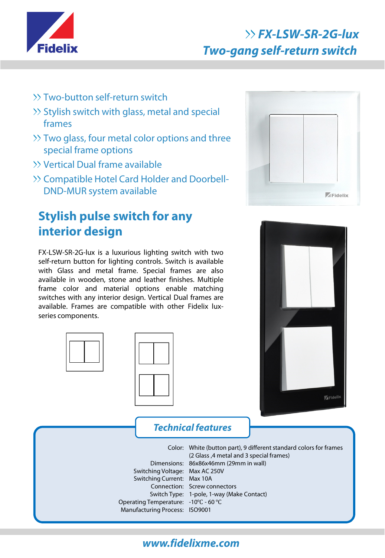

# **FX-LSW-SR-2G-lux Two-gang self-return switch**

- Two-button self-return switch
- $\gg$  Stylish switch with glass, metal and special frames
- Two glass, four metal color options and three special frame options
- Vertical Dual frame available
- >> Compatible Hotel Card Holder and Doorbell-DND-MUR system available

# **Stylish pulse switch for any interior design**

FX-LSW-SR-2G-lux is a luxurious lighting switch with two self-return button for lighting controls. Switch is available with Glass and metal frame. Special frames are also available in wooden, stone and leather finishes. Multiple frame color and material options enable matching switches with any interior design. Vertical Dual frames are available. Frames are compatible with other Fidelix luxseries components.









### **Technical features** Color: White (button part), 9 different standard colors for frames Dimensions: 86x86x46mm (29mm in wall) Switching Voltage: Max AC 250V Switching Current: Max 10A Connection: Screw connectors Switch Type: 1-pole, 1-way (Make Contact) Operating Temperature: -10℃ - 60 ℃ Manufacturing Process: ISO9001 (2 Glass ,4 metal and 3 special frames)

## **www.fidelixme.com**